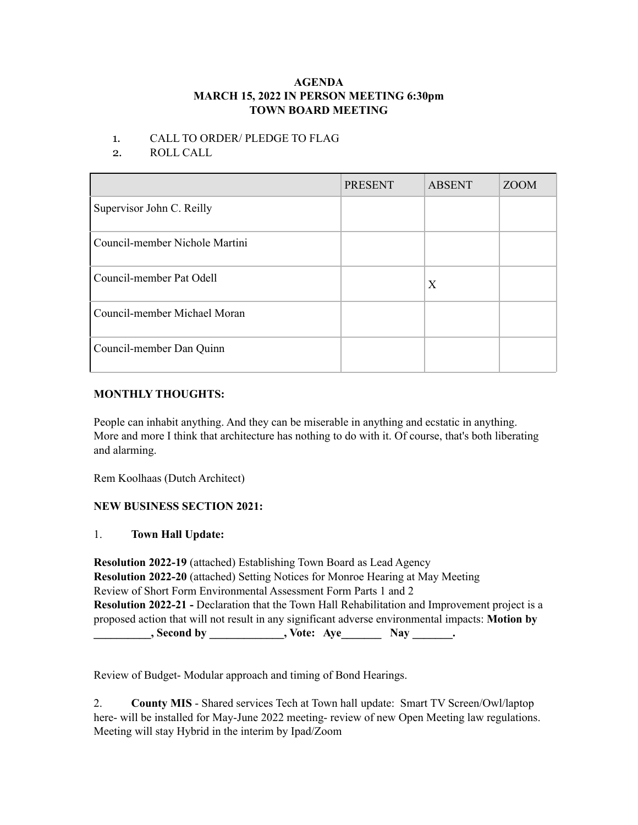### **AGENDA MARCH 15, 2022 IN PERSON MEETING 6:30pm TOWN BOARD MEETING**

### 1. CALL TO ORDER/ PLEDGE TO FLAG

2. ROLL CALL

|                                | <b>PRESENT</b> | <b>ABSENT</b> | <b>ZOOM</b> |
|--------------------------------|----------------|---------------|-------------|
| Supervisor John C. Reilly      |                |               |             |
| Council-member Nichole Martini |                |               |             |
| Council-member Pat Odell       |                | X             |             |
| Council-member Michael Moran   |                |               |             |
| Council-member Dan Quinn       |                |               |             |

## **MONTHLY THOUGHTS:**

People can inhabit anything. And they can be miserable in anything and ecstatic in anything. More and more I think that architecture has nothing to do with it. Of course, that's both liberating and alarming.

Rem Koolhaas (Dutch Architect)

# **NEW BUSINESS SECTION 2021:**

### 1. **Town Hall Update:**

**Resolution 2022-19** (attached) Establishing Town Board as Lead Agency **Resolution 2022-20** (attached) Setting Notices for Monroe Hearing at May Meeting Review of Short Form Environmental Assessment Form Parts 1 and 2 **Resolution 2022-21 -** Declaration that the Town Hall Rehabilitation and Improvement project is a proposed action that will not result in any significant adverse environmental impacts: **Motion by \_\_\_\_\_\_\_\_\_\_, Second by \_\_\_\_\_\_\_\_\_\_\_\_\_, Vote: Aye\_\_\_\_\_\_\_ Nay \_\_\_\_\_\_\_.**

Review of Budget- Modular approach and timing of Bond Hearings.

2. **County MIS** - Shared services Tech at Town hall update: Smart TV Screen/Owl/laptop here- will be installed for May-June 2022 meeting- review of new Open Meeting law regulations. Meeting will stay Hybrid in the interim by Ipad/Zoom